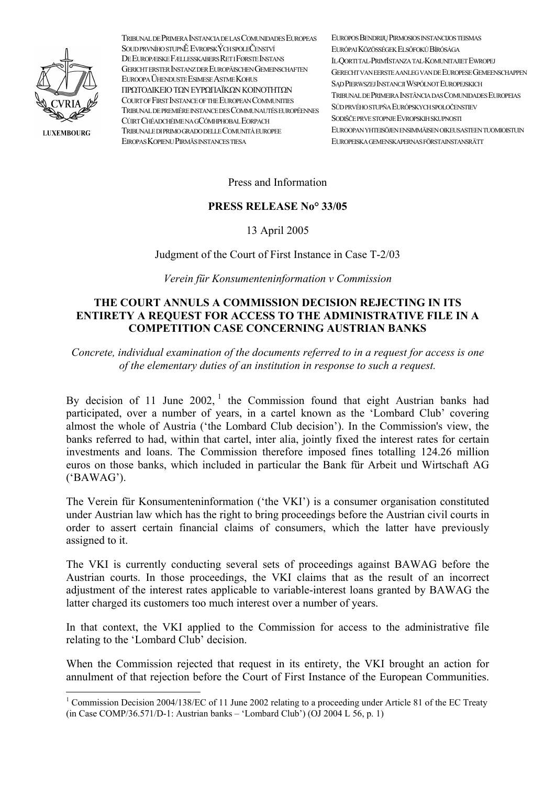

**LUXEMBOURG** 

TRIBUNAL DE PRIMERA INSTANCIA DE LAS COMUNIDADES EUROPEAS SOUD PRVNÍHO STUPNĚ EVROPSKÝCH SPOLEČENSTVÍ DE EUROPÆISKE FÆLLESSKABERS RET I FØRSTE INSTANS GERICHT ERSTER INSTANZ DER EUROPÄISCHEN GEMEINSCHAFTEN EUROOPA ÜHENDUSTE ESIMESE ASTME KOHUS ΠΡΩΤΟΔΙΚΕΙΟ ΤΩΝ ΕΥΡΩΠΑΪΚΩΝ ΚΟΙΝΟΤΗΤΩΝ COURT OF FIRST INSTANCE OF THE EUROPEAN COMMUNITIES TRIBI NAL DE PREMIÈRE INSTANCE DES COMMI NALITÉS EL IROPÉENNES CÚTRT CHÉADCHÉIME NA GCÓMHPHOBAL EORPACH TRIBUNALE DI PRIMO GRADO DELLE COMUNITÀ EUROPEE EIROPAS KOPIENU PIRMĀS INSTANCES TIESA

EL ROPOS BENDRIJU PIRMOSIOS INSTANCIJOS TEISMAS ELIRÓPAI KÖZÖSSÉGEK ELSŐFOKLI BÍRÓSÁGA **IL OORTITAL PRIMISTANZA TAL KOMI NITAIET EWROPEI** GERECHT VAN EERSTE AANLEG VAN DE EUROPESE GEMEENSCHAPPEN SAD PIERWSZEJ INSTANCJI WSPÓLNOT EUROPEJSKICH TRIBUNAL DE PRIMEIRA INSTÂNCIA DAS COMUNIDADES EUROPEIAS SÚD PRVÉHO STUPŇA EURÓPSKYCH SPOLOČENSTIEV SODIŠČE PRVE STOPNJE EVROPSKIH SKUPNOSTI EI IROOPAN VHTEISÖIEN ENSIMMÄISEN OIKEI ISASTEEN TI JOMIOISTI IIN EI IROPEISK A GEMENSK APERNAS FÖRSTAINSTANSRÄTT

Press and Information

## **PRESS RELEASE No<sup>o</sup> 33/05**

13 April 2005

Judgment of the Court of First Instance in Case T-2/03

Verein für Konsumenteninformation v Commission

## THE COURT ANNULS A COMMISSION DECISION REJECTING IN ITS **ENTIRETY A REQUEST FOR ACCESS TO THE ADMINISTRATIVE FILE IN A COMPETITION CASE CONCERNING AUSTRIAN BANKS**

Concrete, individual examination of the documents referred to in a request for access is one of the elementary duties of an institution in response to such a request.

By decision of 11 June  $2002$ , the Commission found that eight Austrian banks had participated, over a number of years, in a cartel known as the 'Lombard Club' covering almost the whole of Austria ('the Lombard Club decision'). In the Commission's view, the banks referred to had, within that cartel, inter alia, jointly fixed the interest rates for certain investments and loans. The Commission therefore imposed fines totalling 124.26 million euros on those banks, which included in particular the Bank für Arbeit und Wirtschaft AG  $('BAWAG').$ 

The Verein für Konsumenteninformation ('the VKI') is a consumer organisation constituted under Austrian law which has the right to bring proceedings before the Austrian civil courts in order to assert certain financial claims of consumers, which the latter have previously assigned to it.

The VKI is currently conducting several sets of proceedings against BAWAG before the Austrian courts. In those proceedings, the VKI claims that as the result of an incorrect adjustment of the interest rates applicable to variable-interest loans granted by BAWAG the latter charged its customers too much interest over a number of years.

In that context, the VKI applied to the Commission for access to the administrative file relating to the 'Lombard Club' decision.

When the Commission rejected that request in its entirety, the VKI brought an action for annulment of that rejection before the Court of First Instance of the European Communities.

<span id="page-0-0"></span><sup>&</sup>lt;sup>1</sup> Commission Decision 2004/138/EC of 11 June 2002 relating to a proceeding under Article 81 of the EC Treaty (in Case COMP/36.571/D-1: Austrian banks – 'Lombard Club') (OJ 2004 L 56, p. 1)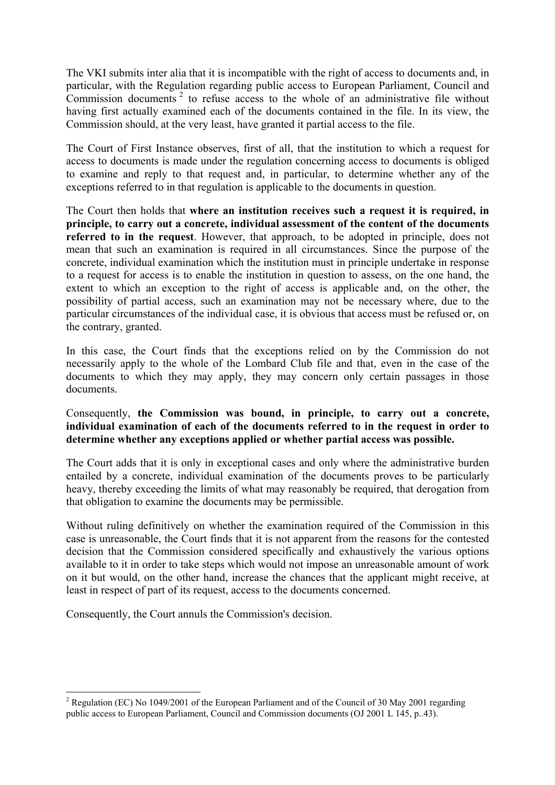The VKI submits inter alia that it is incompatible with the right of access to documents and, in particular, with the Regulation regarding public access to European Parliament, Council and Commission documents<sup>[2](#page-1-0)</sup> to refuse access to the whole of an administrative file without having first actually examined each of the documents contained in the file. In its view, the Commission should, at the very least, have granted it partial access to the file.

The Court of First Instance observes, first of all, that the institution to which a request for access to documents is made under the regulation concerning access to documents is obliged to examine and reply to that request and, in particular, to determine whether any of the exceptions referred to in that regulation is applicable to the documents in question.

The Court then holds that **where an institution receives such a request it is required, in principle, to carry out a concrete, individual assessment of the content of the documents referred to in the request**. However, that approach, to be adopted in principle, does not mean that such an examination is required in all circumstances. Since the purpose of the concrete, individual examination which the institution must in principle undertake in response to a request for access is to enable the institution in question to assess, on the one hand, the extent to which an exception to the right of access is applicable and, on the other, the possibility of partial access, such an examination may not be necessary where, due to the particular circumstances of the individual case, it is obvious that access must be refused or, on the contrary, granted.

In this case, the Court finds that the exceptions relied on by the Commission do not necessarily apply to the whole of the Lombard Club file and that, even in the case of the documents to which they may apply, they may concern only certain passages in those documents.

## Consequently, **the Commission was bound, in principle, to carry out a concrete, individual examination of each of the documents referred to in the request in order to determine whether any exceptions applied or whether partial access was possible.**

The Court adds that it is only in exceptional cases and only where the administrative burden entailed by a concrete, individual examination of the documents proves to be particularly heavy, thereby exceeding the limits of what may reasonably be required, that derogation from that obligation to examine the documents may be permissible.

Without ruling definitively on whether the examination required of the Commission in this case is unreasonable, the Court finds that it is not apparent from the reasons for the contested decision that the Commission considered specifically and exhaustively the various options available to it in order to take steps which would not impose an unreasonable amount of work on it but would, on the other hand, increase the chances that the applicant might receive, at least in respect of part of its request, access to the documents concerned.

Consequently, the Court annuls the Commission's decision.

 $\overline{a}$ 

<span id="page-1-0"></span><sup>&</sup>lt;sup>2</sup> Regulation (EC) No 1049/2001 of the European Parliament and of the Council of 30 May 2001 regarding public access to European Parliament, Council and Commission documents (OJ 2001 L 145, p..43).